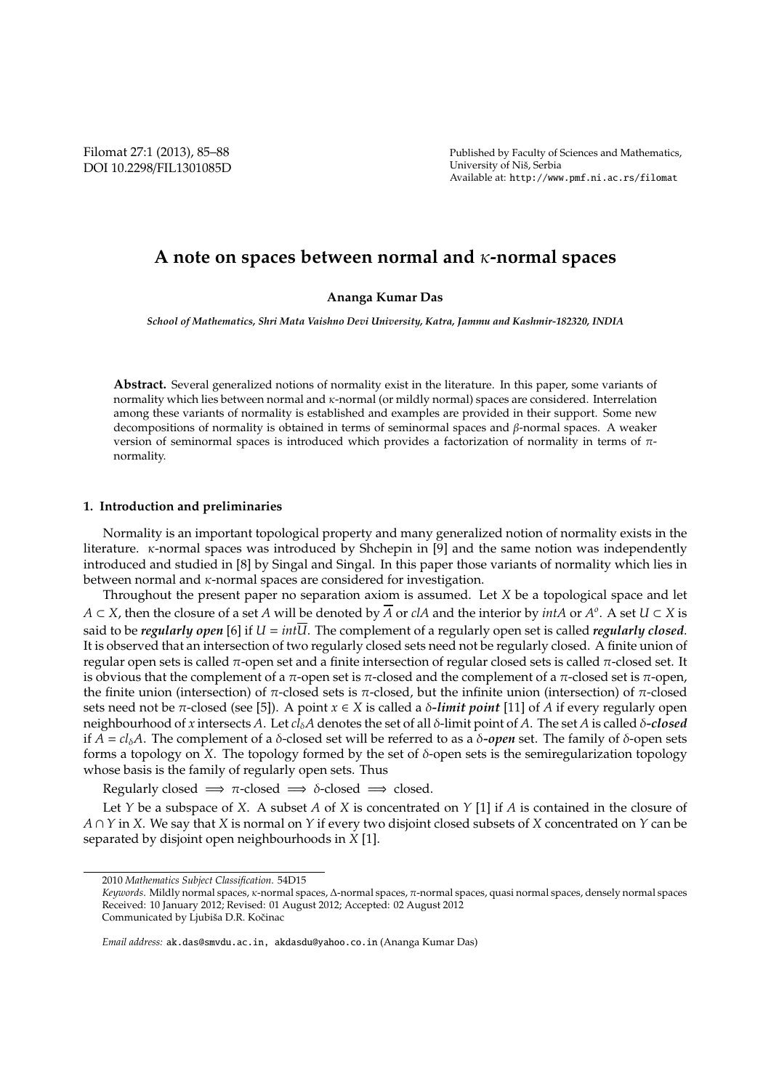Filomat 27:1 (2013), 85–88 DOI 10.2298/FIL1301085D Published by Faculty of Sciences and Mathematics, University of Niš, Serbia Available at: http://www.pmf.ni.ac.rs/filomat

# **A note on spaces between normal and** κ**-normal spaces**

# **Ananga Kumar Das**

*School of Mathematics, Shri Mata Vaishno Devi University, Katra, Jammu and Kashmir-182320, INDIA*

**Abstract.** Several generalized notions of normality exist in the literature. In this paper, some variants of normality which lies between normal and κ-normal (or mildly normal) spaces are considered. Interrelation among these variants of normality is established and examples are provided in their support. Some new decompositions of normality is obtained in terms of seminormal spaces and β-normal spaces. A weaker version of seminormal spaces is introduced which provides a factorization of normality in terms of πnormality.

# **1. Introduction and preliminaries**

Normality is an important topological property and many generalized notion of normality exists in the literature. κ-normal spaces was introduced by Shchepin in [9] and the same notion was independently introduced and studied in [8] by Singal and Singal. In this paper those variants of normality which lies in between normal and  $\kappa$ -normal spaces are considered for investigation.

Throughout the present paper no separation axiom is assumed. Let *X* be a topological space and let *A* ⊂ *X*, then the closure of a set *A* will be denoted by *A* or *clA* and the interior by *intA* or *A o* . A set *U* ⊂ *X* is said to be *regularly open* [6] if  $U = int\overline{U}$ . The complement of a regularly open set is called *regularly closed*. It is observed that an intersection of two regularly closed sets need not be regularly closed. A finite union of regular open sets is called π-open set and a finite intersection of regular closed sets is called π-closed set. It is obvious that the complement of a π-open set is π-closed and the complement of a π-closed set is π-open, the finite union (intersection) of π-closed sets is π-closed, but the infinite union (intersection) of π-closed sets need not be  $\pi$ -closed (see [5]). A point  $x \in X$  is called a  $\delta$ -*limit point* [11] of *A* if every regularly open neighbourhood of *x* intersects *A*. Let *cl*δ*A* denotes the set of all δ-limit point of *A*. The set *A* is called δ*-closed* if *A* = *cl*<sub>δ</sub>*A*. The complement of a δ-closed set will be referred to as a δ-open set. The family of δ-open sets forms a topology on *X*. The topology formed by the set of  $\delta$ -open sets is the semiregularization topology whose basis is the family of regularly open sets. Thus

Regularly closed  $\implies \pi$ -closed  $\implies \delta$ -closed  $\implies$  closed.

Let *Y* be a subspace of *X*. A subset *A* of *X* is concentrated on *Y* [1] if *A* is contained in the closure of *A* ∩ *Y* in *X*. We say that *X* is normal on *Y* if every two disjoint closed subsets of *X* concentrated on *Y* can be separated by disjoint open neighbourhoods in *X* [1].

<sup>2010</sup> *Mathematics Subject Classification*. 54D15

*Keywords*. Mildly normal spaces, κ-normal spaces, ∆-normal spaces, π-normal spaces, quasi normal spaces, densely normal spaces Received: 10 January 2012; Revised: 01 August 2012; Accepted: 02 August 2012

Communicated by Ljubiša D.R. Kočinac

*Email address:* ak.das@smvdu.ac.in, akdasdu@yahoo.co.in (Ananga Kumar Das)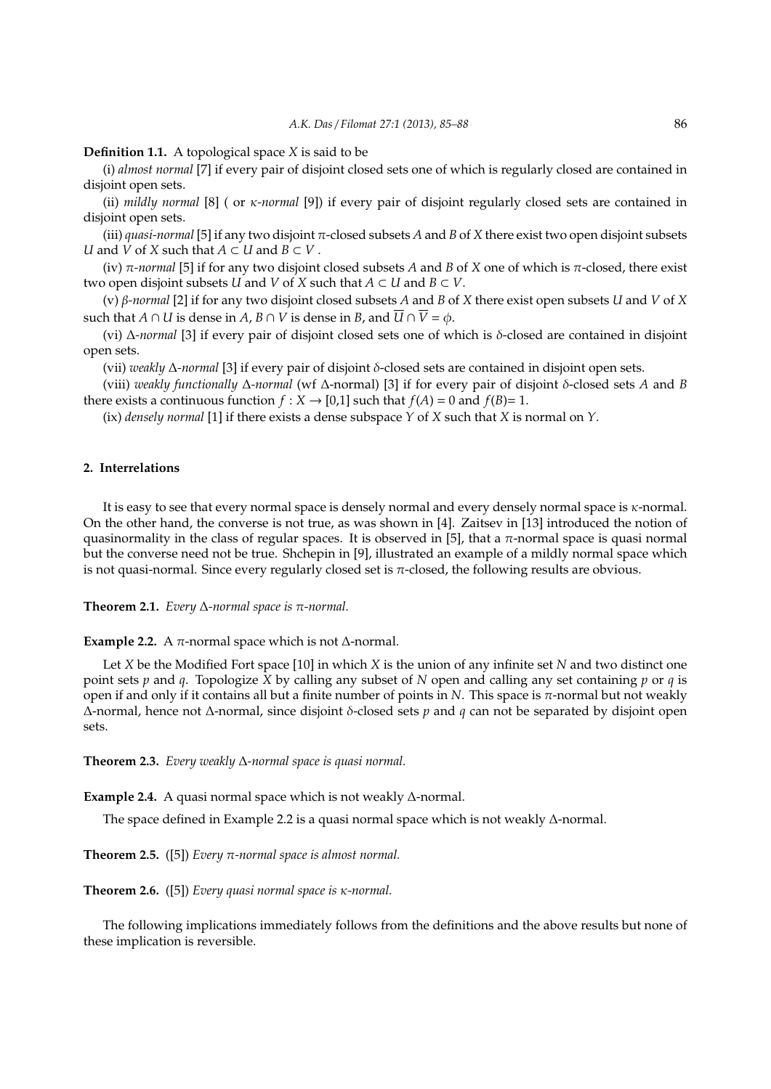## **Definition 1.1.** A topological space *X* is said to be

(i) *almost normal* [7] if every pair of disjoint closed sets one of which is regularly closed are contained in disjoint open sets.

(ii) *mildly normal* [8] ( or κ*-normal* [9]) if every pair of disjoint regularly closed sets are contained in disjoint open sets.

(iii) *quasi-normal* [5] if any two disjoint  $\pi$ -closed subsets *A* and *B* of *X* there exist two open disjoint subsets *U* and *V* of *X* such that *A* ⊂ *U* and *B* ⊂ *V* .

(iv) π*-normal* [5] if for any two disjoint closed subsets *A* and *B* of *X* one of which is π-closed, there exist two open disjoint subsets *U* and *V* of *X* such that  $A \subset U$  and  $B \subset V$ .

(v) β*-normal* [2] if for any two disjoint closed subsets *A* and *B* of *X* there exist open subsets *U* and *V* of *X* such that *A* ∩ *U* is dense in *A*, *B* ∩ *V* is dense in *B*, and  $\overline{U} \cap \overline{V} = \phi$ .

(vi) ∆*-normal* [3] if every pair of disjoint closed sets one of which is δ-closed are contained in disjoint open sets.

(vii) *weakly* ∆*-normal* [3] if every pair of disjoint δ-closed sets are contained in disjoint open sets.

(viii) *weakly functionally* ∆*-normal* (wf ∆-normal) [3] if for every pair of disjoint δ-closed sets *A* and *B* there exists a continuous function  $f : X \to [0,1]$  such that  $f(A) = 0$  and  $f(B) = 1$ .

(ix) *densely normal* [1] if there exists a dense subspace *Y* of *X* such that *X* is normal on *Y*.

#### **2. Interrelations**

It is easy to see that every normal space is densely normal and every densely normal space is κ-normal. On the other hand, the converse is not true, as was shown in [4]. Zaitsev in [13] introduced the notion of quasinormality in the class of regular spaces. It is observed in [5], that a  $\pi$ -normal space is quasi normal but the converse need not be true. Shchepin in [9], illustrated an example of a mildly normal space which is not quasi-normal. Since every regularly closed set is π-closed, the following results are obvious.

**Theorem 2.1.** *Every* ∆*-normal space is* π*-normal.*

**Example 2.2.** A  $π$ -normal space which is not  $Δ$ -normal.

Let *X* be the Modified Fort space [10] in which *X* is the union of any infinite set *N* and two distinct one point sets *p* and *q*. Topologize *X* by calling any subset of *N* open and calling any set containing *p* or *q* is open if and only if it contains all but a finite number of points in *N*. This space is  $\pi$ -normal but not weakly ∆-normal, hence not ∆-normal, since disjoint δ-closed sets *p* and *q* can not be separated by disjoint open sets.

**Theorem 2.3.** *Every weakly* ∆*-normal space is quasi normal.*

**Example 2.4.** A quasi normal space which is not weakly ∆-normal.

The space defined in Example 2.2 is a quasi normal space which is not weakly ∆-normal.

**Theorem 2.5.** ([5]) *Every* π*-normal space is almost normal.*

**Theorem 2.6.** ([5]) *Every quasi normal space is* κ*-normal.*

The following implications immediately follows from the definitions and the above results but none of these implication is reversible.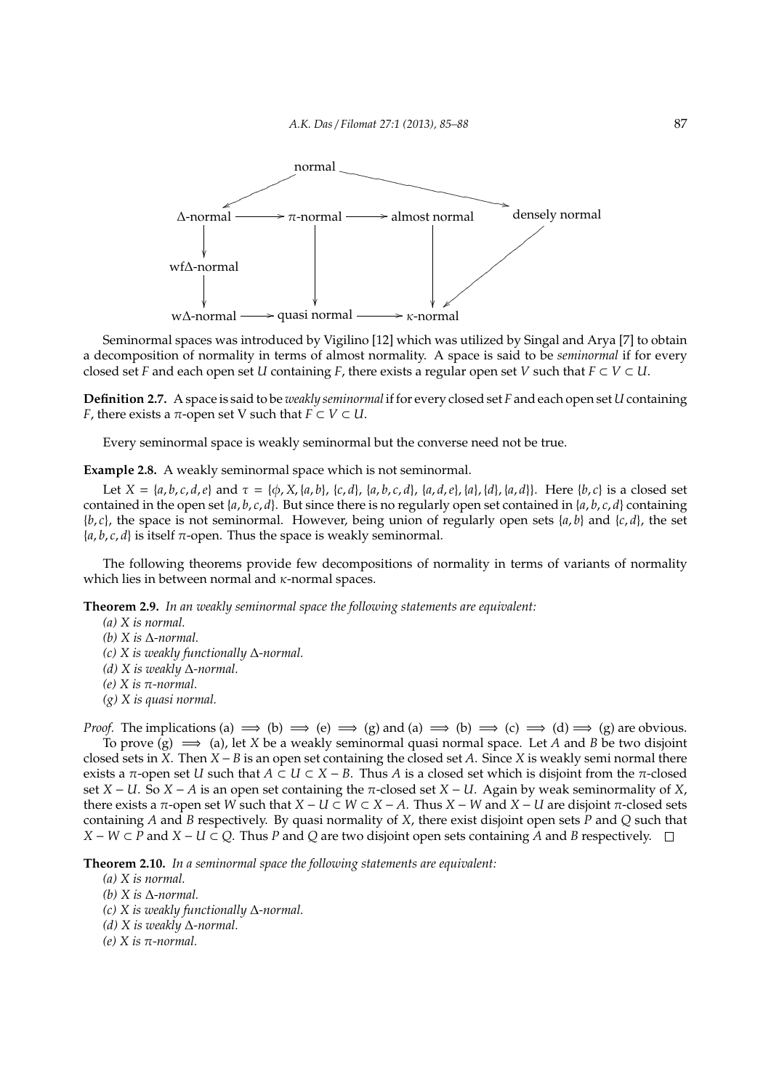

Seminormal spaces was introduced by Vigilino [12] which was utilized by Singal and Arya [7] to obtain a decomposition of normality in terms of almost normality. A space is said to be *seminormal* if for every closed set *F* and each open set *U* containing *F*, there exists a regular open set *V* such that  $F \subset V \subset U$ .

**Definition 2.7.** A space is said to be *weakly seminormal* if for every closed set *F* and each open set *U* containing *F*, there exists a  $\pi$ -open set V such that  $F \subset V \subset U$ .

Every seminormal space is weakly seminormal but the converse need not be true.

**Example 2.8.** A weakly seminormal space which is not seminormal.

Let  $X = \{a, b, c, d, e\}$  and  $\tau = \{\phi, X, \{a, b\}, \{c, d\}, \{a, b, c, d\}, \{a, d, e\}, \{a\}, \{d\}, \{a, d\}\}\$ . Here  $\{b, c\}$  is a closed set contained in the open set  $\{a, b, c, d\}$ . But since there is no regularly open set contained in  $\{a, b, c, d\}$  containing  ${b, c}$ , the space is not seminormal. However, being union of regularly open sets  ${a, b}$  and  ${c, d}$ , the set  ${a, b, c, d}$  is itself  $\pi$ -open. Thus the space is weakly seminormal.

The following theorems provide few decompositions of normality in terms of variants of normality which lies in between normal and  $\kappa$ -normal spaces.

**Theorem 2.9.** *In an weakly seminormal space the following statements are equivalent:*

*(a) X is normal. (b) X is* ∆*-normal.*

- *(c) X is weakly functionally* ∆*-normal.*
- *(d) X is weakly* ∆*-normal.*
- *(e) X is* π*-normal.*
- *(g) X is quasi normal.*

*Proof.* The implications (a)  $\implies$  (b)  $\implies$  (e)  $\implies$  (g) and (a)  $\implies$  (b)  $\implies$  (c)  $\implies$  (d)  $\implies$  (g) are obvious. To prove  $(g) \implies (a)$ , let *X* be a weakly seminormal quasi normal space. Let *A* and *B* be two disjoint closed sets in *X*. Then *X* − *B* is an open set containing the closed set *A*. Since *X* is weakly semi normal there exists a  $\pi$ -open set *U* such that  $A \subset U \subset X - B$ . Thus *A* is a closed set which is disjoint from the  $\pi$ -closed set *X* − *U*. So *X* − *A* is an open set containing the  $\pi$ -closed set *X* − *U*. Again by weak seminormality of *X*, there exists a π-open set *W* such that  $X - U \subset W \subset X - A$ . Thus  $X - W$  and  $X - U$  are disjoint π-closed sets containing *A* and *B* respectively. By quasi normality of *X*, there exist disjoint open sets *P* and *Q* such that *X* − *W* ⊂ *P* and *X* − *U* ⊂ *Q*. Thus *P* and *Q* are two disjoint open sets containing *A* and *B* respectively.  $\Box$ 

**Theorem 2.10.** *In a seminormal space the following statements are equivalent:*

- *(a) X is normal.*
- *(b) X is* ∆*-normal.*
- *(c) X is weakly functionally* ∆*-normal.*
- *(d) X is weakly* ∆*-normal.*
- *(e) X is* π*-normal.*